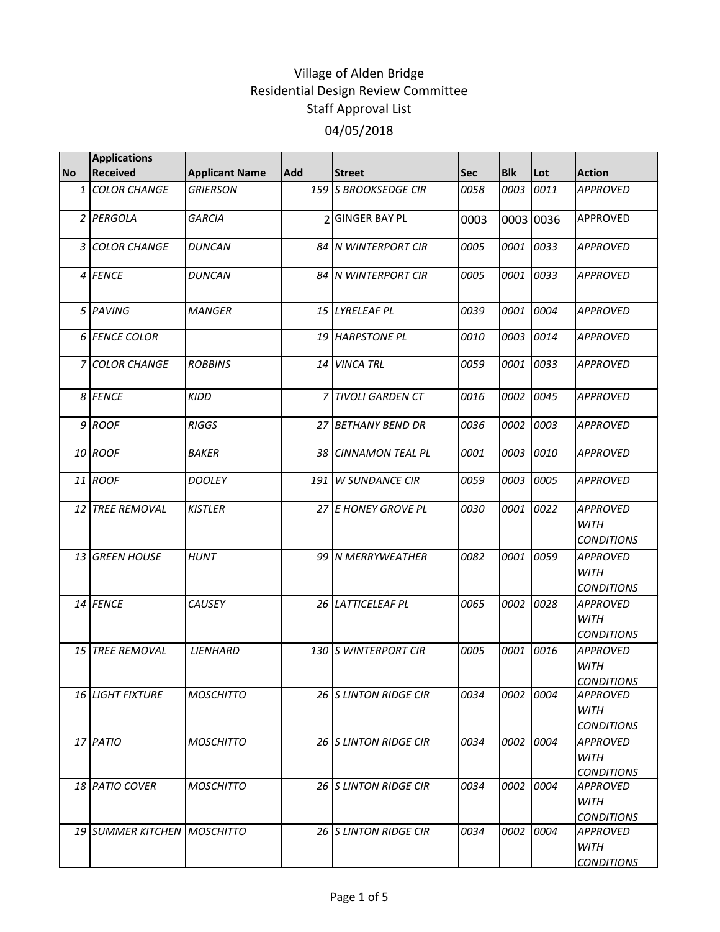|           | <b>Applications</b>         |                       |            |                       |            |            |           |                                                     |
|-----------|-----------------------------|-----------------------|------------|-----------------------|------------|------------|-----------|-----------------------------------------------------|
| <b>No</b> | <b>Received</b>             | <b>Applicant Name</b> | <b>Add</b> | <b>Street</b>         | <b>Sec</b> | <b>Blk</b> | Lot       | <b>Action</b>                                       |
| 1         | <b>COLOR CHANGE</b>         | <b>GRIERSON</b>       |            | 159 S BROOKSEDGE CIR  | 0058       | 0003       | 0011      | <b>APPROVED</b>                                     |
|           | 2 PERGOLA                   | <b>GARCIA</b>         |            | 2 GINGER BAY PL       | 0003       |            | 0003 0036 | <b>APPROVED</b>                                     |
|           | 3 COLOR CHANGE              | <b>DUNCAN</b>         |            | 84 N WINTERPORT CIR   | 0005       | 0001       | 0033      | <b>APPROVED</b>                                     |
|           | 4 FENCE                     | <b>DUNCAN</b>         |            | 84 N WINTERPORT CIR   | 0005       | 0001       | 0033      | <b>APPROVED</b>                                     |
|           | 5 PAVING                    | <b>MANGER</b>         |            | 15 LYRELEAF PL        | 0039       | 0001       | 0004      | <b>APPROVED</b>                                     |
|           | 6 FENCE COLOR               |                       |            | 19 HARPSTONE PL       | 0010       | 0003       | 0014      | <b>APPROVED</b>                                     |
|           | 7 COLOR CHANGE              | <b>ROBBINS</b>        |            | 14 VINCA TRL          | 0059       | 0001       | 0033      | <b>APPROVED</b>                                     |
|           | 8 FENCE                     | <b>KIDD</b>           |            | 7 TIVOLI GARDEN CT    | 0016       | 0002       | 0045      | <b>APPROVED</b>                                     |
|           | 9 ROOF                      | <b>RIGGS</b>          |            | 27 BETHANY BEND DR    | 0036       | 0002       | 0003      | <b>APPROVED</b>                                     |
|           | 10 ROOF                     | <b>BAKER</b>          |            | 38 CINNAMON TEAL PL   | 0001       | 0003 0010  |           | APPROVED                                            |
|           | 11 ROOF                     | <b>DOOLEY</b>         | 191        | <b>W SUNDANCE CIR</b> | 0059       | 0003       | 0005      | <b>APPROVED</b>                                     |
|           | 12 TREE REMOVAL             | <b>KISTLER</b>        |            | 27 E HONEY GROVE PL   | 0030       | 0001       | 0022      | <b>APPROVED</b><br><b>WITH</b><br><b>CONDITIONS</b> |
|           | 13 GREEN HOUSE              | <b>HUNT</b>           |            | 99 N MERRYWEATHER     | 0082       | 0001       | 0059      | <b>APPROVED</b><br><b>WITH</b><br><b>CONDITIONS</b> |
|           | 14 FENCE                    | CAUSEY                |            | 26 LATTICELEAF PL     | 0065       | 0002       | 0028      | <b>APPROVED</b><br><b>WITH</b><br><b>CONDITIONS</b> |
|           | 15 TREE REMOVAL             | LIENHARD              |            | 130 S WINTERPORT CIR  | 0005       | 0001       | 0016      | <b>APPROVED</b><br>WITH<br><b>CONDITIONS</b>        |
|           | <b>16 LIGHT FIXTURE</b>     | <b>MOSCHITTO</b>      |            | 26 S LINTON RIDGE CIR | 0034       | 0002 0004  |           | <b>APPROVED</b><br><b>WITH</b><br><b>CONDITIONS</b> |
|           | 17 PATIO                    | <b>MOSCHITTO</b>      |            | 26 S LINTON RIDGE CIR | 0034       | 0002       | 0004      | <b>APPROVED</b><br><b>WITH</b><br><b>CONDITIONS</b> |
|           | 18 PATIO COVER              | <b>MOSCHITTO</b>      |            | 26 S LINTON RIDGE CIR | 0034       | 0002       | 0004      | <b>APPROVED</b><br><b>WITH</b><br><b>CONDITIONS</b> |
|           | 19 SUMMER KITCHEN MOSCHITTO |                       |            | 26 S LINTON RIDGE CIR | 0034       | 0002       | 0004      | <b>APPROVED</b><br>WITH<br><b>CONDITIONS</b>        |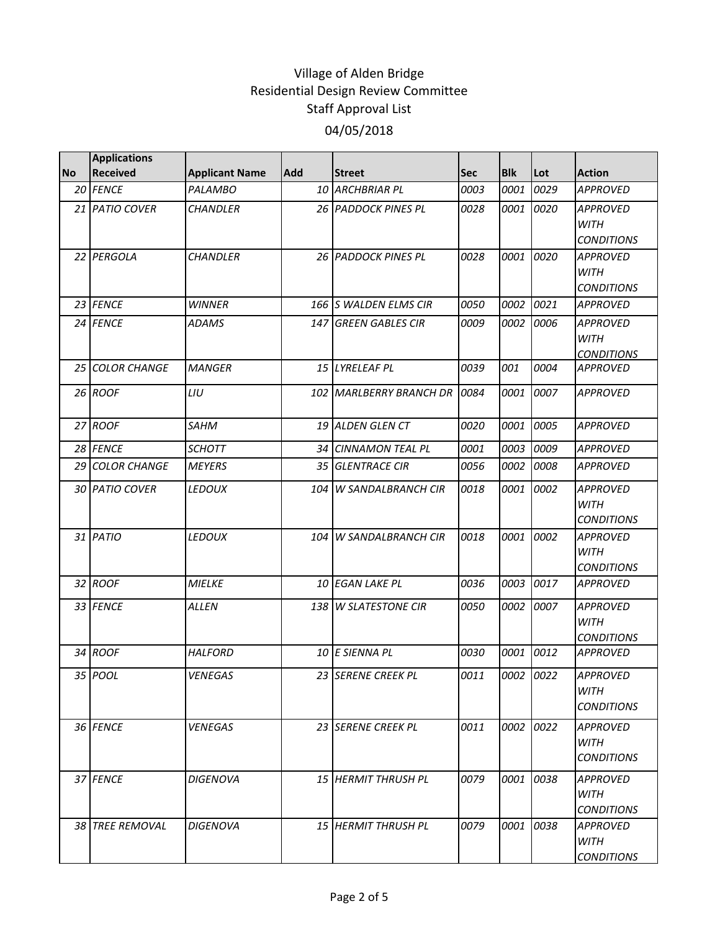|           | <b>Applications</b> |                       |     |                            |            |            |           |                                                     |
|-----------|---------------------|-----------------------|-----|----------------------------|------------|------------|-----------|-----------------------------------------------------|
| <b>No</b> | <b>Received</b>     | <b>Applicant Name</b> | Add | <b>Street</b>              | <b>Sec</b> | <b>Blk</b> | Lot       | <b>Action</b>                                       |
|           | 20 FENCE            | <b>PALAMBO</b>        |     | 10 ARCHBRIAR PL            | 0003       | 0001       | 0029      | <b>APPROVED</b>                                     |
|           | 21 PATIO COVER      | <b>CHANDLER</b>       |     | 26 PADDOCK PINES PL        | 0028       | 0001       | 0020      | <b>APPROVED</b><br><b>WITH</b><br><b>CONDITIONS</b> |
|           | 22 PERGOLA          | <b>CHANDLER</b>       |     | 26 PADDOCK PINES PL        | 0028       | 0001       | 0020      | <b>APPROVED</b><br><b>WITH</b><br><b>CONDITIONS</b> |
|           | 23 FENCE            | <b>WINNER</b>         |     | 166 S WALDEN ELMS CIR      | 0050       | 0002       | 0021      | <b>APPROVED</b>                                     |
| 24        | <b>FENCE</b>        | ADAMS                 |     | 147 GREEN GABLES CIR       | 0009       | 0002       | 0006      | <b>APPROVED</b><br><b>WITH</b><br><b>CONDITIONS</b> |
|           | 25 COLOR CHANGE     | <b>MANGER</b>         |     | 15 LYRELEAF PL             | 0039       | 001        | 0004      | <b>APPROVED</b>                                     |
|           | 26 ROOF             | LIU                   |     | 102 MARLBERRY BRANCH DR    | 0084       | 0001       | 0007      | <b>APPROVED</b>                                     |
|           | 27 ROOF             | <b>SAHM</b>           |     | 19 ALDEN GLEN CT           | 0020       | 0001       | 0005      | <b>APPROVED</b>                                     |
|           | 28 FENCE            | <b>SCHOTT</b>         | 34  | <b>CINNAMON TEAL PL</b>    | 0001       | 0003       | 0009      | <b>APPROVED</b>                                     |
| 29        | <b>COLOR CHANGE</b> | <b>MEYERS</b>         | 35  | <b>GLENTRACE CIR</b>       | 0056       | 0002       | 0008      | <b>APPROVED</b>                                     |
|           | 30 PATIO COVER      | LEDOUX                | 104 | W SANDALBRANCH CIR         | 0018       | 0001       | 0002      | <b>APPROVED</b><br><b>WITH</b><br><b>CONDITIONS</b> |
|           | 31 PATIO            | LEDOUX                | 104 | <b>W SANDALBRANCH CIR</b>  | 0018       | 0001       | 0002      | <b>APPROVED</b><br><b>WITH</b><br><b>CONDITIONS</b> |
|           | 32 ROOF             | <b>MIELKE</b>         |     | 10 EGAN LAKE PL            | 0036       | 0003       | 0017      | <b>APPROVED</b>                                     |
|           | 33 FENCE            | <b>ALLEN</b>          |     | 138 W SLATESTONE CIR       | 0050       | 0002       | 0007      | <b>APPROVED</b><br><b>WITH</b><br><b>CONDITIONS</b> |
|           | 34 ROOF             | <b>HALFORD</b>        |     | 10 E SIENNA PL             | 0030       | 0001       | 0012      | <b>APPROVED</b>                                     |
|           | 35 POOL             | <b>VENEGAS</b>        |     | 23 SERENE CREEK PL         | 0011       |            | 0002 0022 | <b>APPROVED</b><br><b>WITH</b><br><b>CONDITIONS</b> |
|           | 36 FENCE            | VENEGAS               |     | 23 SERENE CREEK PL         | 0011       | 0002       | 0022      | APPROVED<br><b>WITH</b><br><b>CONDITIONS</b>        |
|           | 37 FENCE            | DIGENOVA              |     | 15 HERMIT THRUSH PL        | 0079       | 0001       | 0038      | <b>APPROVED</b><br>WITH<br><b>CONDITIONS</b>        |
|           | 38 TREE REMOVAL     | DIGENOVA              |     | <b>15 HERMIT THRUSH PL</b> | 0079       | 0001       | 0038      | <b>APPROVED</b><br>WITH<br><b>CONDITIONS</b>        |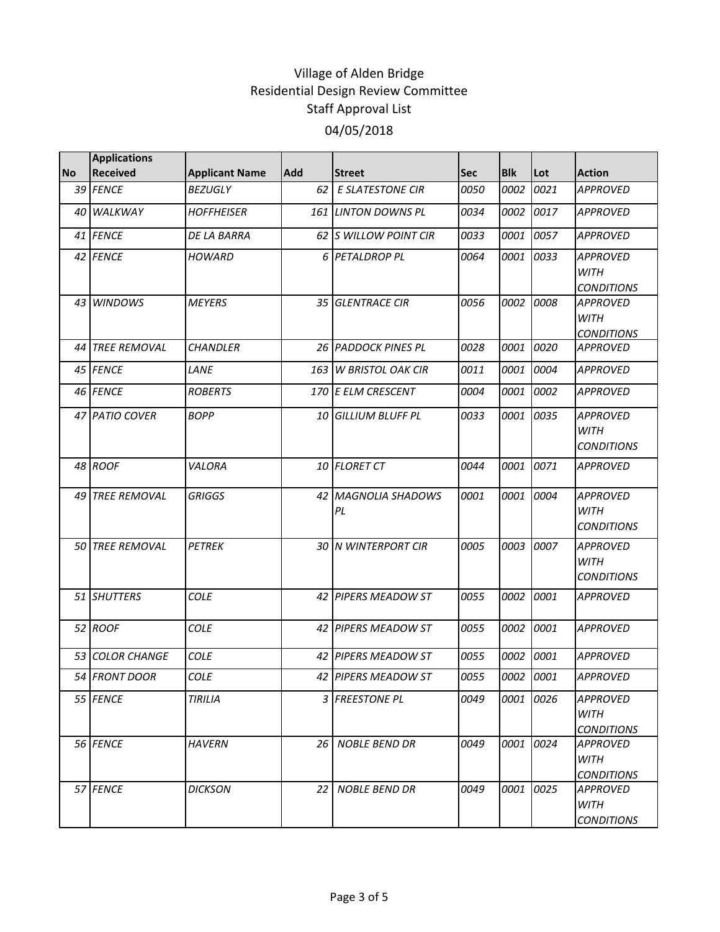|           | <b>Applications</b> |                       |     |                               |            |            |      |                                                     |
|-----------|---------------------|-----------------------|-----|-------------------------------|------------|------------|------|-----------------------------------------------------|
| <b>No</b> | <b>Received</b>     | <b>Applicant Name</b> | Add | <b>Street</b>                 | <b>Sec</b> | <b>Blk</b> | Lot  | <b>Action</b>                                       |
|           | 39 FENCE            | <b>BEZUGLY</b>        | 62  | <b>E SLATESTONE CIR</b>       | 0050       | 0002       | 0021 | <b>APPROVED</b>                                     |
| 40        | WALKWAY             | <b>HOFFHEISER</b>     |     | 161 LINTON DOWNS PL           | 0034       | 0002       | 0017 | <b>APPROVED</b>                                     |
|           | 41 FENCE            | DE LA BARRA           |     | <b>62 IS WILLOW POINT CIR</b> | 0033       | 0001       | 0057 | <b>APPROVED</b>                                     |
|           | 42 FENCE            | <b>HOWARD</b>         |     | 6 PETALDROP PL                | 0064       | 0001       | 0033 | <b>APPROVED</b><br><b>WITH</b><br><b>CONDITIONS</b> |
|           | 43 WINDOWS          | <b>MEYERS</b>         | 35  | <b>GLENTRACE CIR</b>          | 0056       | 0002       | 0008 | <b>APPROVED</b><br><b>WITH</b><br><b>CONDITIONS</b> |
|           | 44 TREE REMOVAL     | <b>CHANDLER</b>       |     | 26 PADDOCK PINES PL           | 0028       | 0001       | 0020 | <b>APPROVED</b>                                     |
|           | 45 FENCE            | LANE                  | 163 | <b>W BRISTOL OAK CIR</b>      | 0011       | 0001       | 0004 | <b>APPROVED</b>                                     |
|           | 46 FENCE            | <b>ROBERTS</b>        |     | 170 E ELM CRESCENT            | 0004       | 0001       | 0002 | <b>APPROVED</b>                                     |
|           | 47 PATIO COVER      | <b>BOPP</b>           | 10  | <b>GILLIUM BLUFF PL</b>       | 0033       | 0001       | 0035 | <b>APPROVED</b><br><b>WITH</b><br><b>CONDITIONS</b> |
|           | 48 ROOF             | VALORA                | 10  | <b>FLORET CT</b>              | 0044       | 0001       | 0071 | <b>APPROVED</b>                                     |
|           | 49 TREE REMOVAL     | <b>GRIGGS</b>         |     | 42 MAGNOLIA SHADOWS<br>PL     | 0001       | 0001       | 0004 | <b>APPROVED</b><br><b>WITH</b><br><b>CONDITIONS</b> |
|           | 50 TREE REMOVAL     | <b>PETREK</b>         |     | 30 N WINTERPORT CIR           | 0005       | 0003       | 0007 | <b>APPROVED</b><br><b>WITH</b><br><b>CONDITIONS</b> |
|           | 51 SHUTTERS         | <b>COLE</b>           |     | 42 PIPERS MEADOW ST           | 0055       | 0002       | 0001 | <b>APPROVED</b>                                     |
|           | 52 ROOF             | <b>COLE</b>           |     | 42 PIPERS MEADOW ST           | 0055       | 0002       | 0001 | <b>APPROVED</b>                                     |
|           | 53 COLOR CHANGE     | <b>COLE</b>           |     | 42 PIPERS MEADOW ST           | 0055       | 0002       | 0001 | <b>APPROVED</b>                                     |
|           | 54 FRONT DOOR       | <b>COLE</b>           |     | 42 PIPERS MEADOW ST           | 0055       | 0002       | 0001 | <b>APPROVED</b>                                     |
|           | 55 FENCE            | <b>TIRILIA</b>        |     | 3 FREESTONE PL                | 0049       | 0001       | 0026 | <b>APPROVED</b><br>WITH<br><b>CONDITIONS</b>        |
|           | 56 FENCE            | <b>HAVERN</b>         | 26  | <b>NOBLE BEND DR</b>          | 0049       | 0001       | 0024 | <b>APPROVED</b><br>WITH<br><b>CONDITIONS</b>        |
|           | 57 FENCE            | <b>DICKSON</b>        | 22  | <b>NOBLE BEND DR</b>          | 0049       | 0001       | 0025 | <b>APPROVED</b><br><b>WITH</b><br><b>CONDITIONS</b> |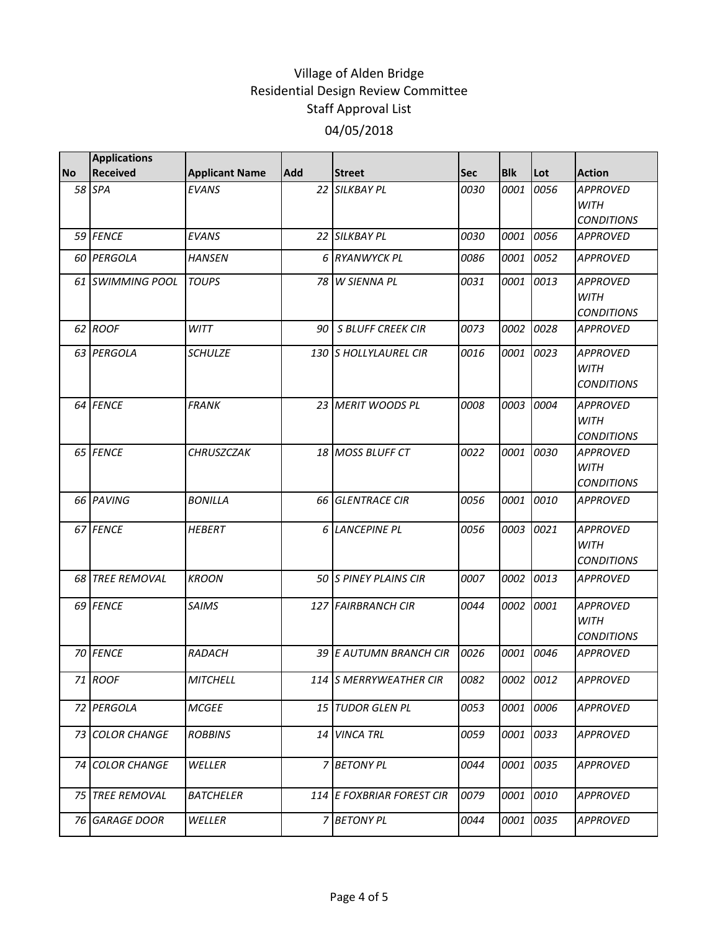|           | <b>Applications</b>    |                       |            |                              |             |            |           |                                                     |
|-----------|------------------------|-----------------------|------------|------------------------------|-------------|------------|-----------|-----------------------------------------------------|
| <b>No</b> | <b>Received</b>        | <b>Applicant Name</b> | <b>Add</b> | <b>Street</b>                | <b>Sec</b>  | <b>Blk</b> | Lot       | <b>Action</b>                                       |
|           | 58 SPA                 | <b>EVANS</b>          |            | 22 SILKBAY PL                | 0030        | 0001       | 0056      | <b>APPROVED</b><br><b>WITH</b><br><b>CONDITIONS</b> |
|           | 59 FENCE               | <b>EVANS</b>          |            | 22 SILKBAY PL                | <i>0030</i> | 0001       | 0056      | <b>APPROVED</b>                                     |
|           | 60 PERGOLA             | <b>HANSEN</b>         |            | 6 RYANWYCK PL                | 0086        | 0001       | 0052      | <b>APPROVED</b>                                     |
|           | 61 SWIMMING POOL       | <b>TOUPS</b>          |            | 78 W SIENNA PL               | 0031        | 0001       | 0013      | <b>APPROVED</b><br><b>WITH</b><br><b>CONDITIONS</b> |
|           | 62 ROOF                | <b>WITT</b>           | 90         | <b>S BLUFF CREEK CIR</b>     | 0073        | 0002       | 0028      | <b>APPROVED</b>                                     |
|           | 63 PERGOLA             | <b>SCHULZE</b>        |            | <b>130 S HOLLYLAUREL CIR</b> | 0016        | 0001       | 0023      | <b>APPROVED</b><br><b>WITH</b><br><b>CONDITIONS</b> |
|           | 64 FENCE               | <b>FRANK</b>          |            | 23 MERIT WOODS PL            | 0008        | 0003       | 0004      | <b>APPROVED</b><br><b>WITH</b><br><b>CONDITIONS</b> |
|           | 65 FENCE               | <b>CHRUSZCZAK</b>     |            | 18 MOSS BLUFF CT             | 0022        | 0001       | 0030      | <b>APPROVED</b><br><b>WITH</b><br><b>CONDITIONS</b> |
|           | 66 PAVING              | <b>BONILLA</b>        |            | 66 GLENTRACE CIR             | 0056        | 0001       | 0010      | <b>APPROVED</b>                                     |
|           | 67 FENCE               | <b>HEBERT</b>         | 6          | <b>LANCEPINE PL</b>          | 0056        | 0003       | 0021      | <b>APPROVED</b><br><b>WITH</b><br><b>CONDITIONS</b> |
|           | <b>68 TREE REMOVAL</b> | <b>KROON</b>          |            | 50 IS PINEY PLAINS CIR       | 0007        | 0002       | 0013      | <b>APPROVED</b>                                     |
|           | 69 FENCE               | <b>SAIMS</b>          |            | 127 FAIRBRANCH CIR           | 0044        | 0002       | 0001      | <b>APPROVED</b><br><b>WITH</b><br><b>CONDITIONS</b> |
|           | 70 FENCE               | RADACH                |            | 39 E AUTUMN BRANCH CIR       | 0026        | 0001       | 0046      | <b>APPROVED</b>                                     |
|           | 71 ROOF                | MITCHELL              |            | 114 S MERRYWEATHER CIR       | 0082        |            | 0002 0012 | APPROVED                                            |
|           | 72 PERGOLA             | <b>MCGEE</b>          |            | 15 TUDOR GLEN PL             | 0053        | 0001       | 0006      | <b>APPROVED</b>                                     |
|           | 73 COLOR CHANGE        | <b>ROBBINS</b>        |            | 14 VINCA TRL                 | 0059        | 0001       | 0033      | <b>APPROVED</b>                                     |
|           | 74 COLOR CHANGE        | WELLER                |            | 7 BETONY PL                  | 0044        | 0001       | 0035      | <b>APPROVED</b>                                     |
|           | 75 TREE REMOVAL        | <b>BATCHELER</b>      |            | 114 E FOXBRIAR FOREST CIR    | 0079        | 0001       | 0010      | <b>APPROVED</b>                                     |
|           | 76 GARAGE DOOR         | WELLER                |            | 7 BETONY PL                  | 0044        | 0001       | 0035      | <b>APPROVED</b>                                     |